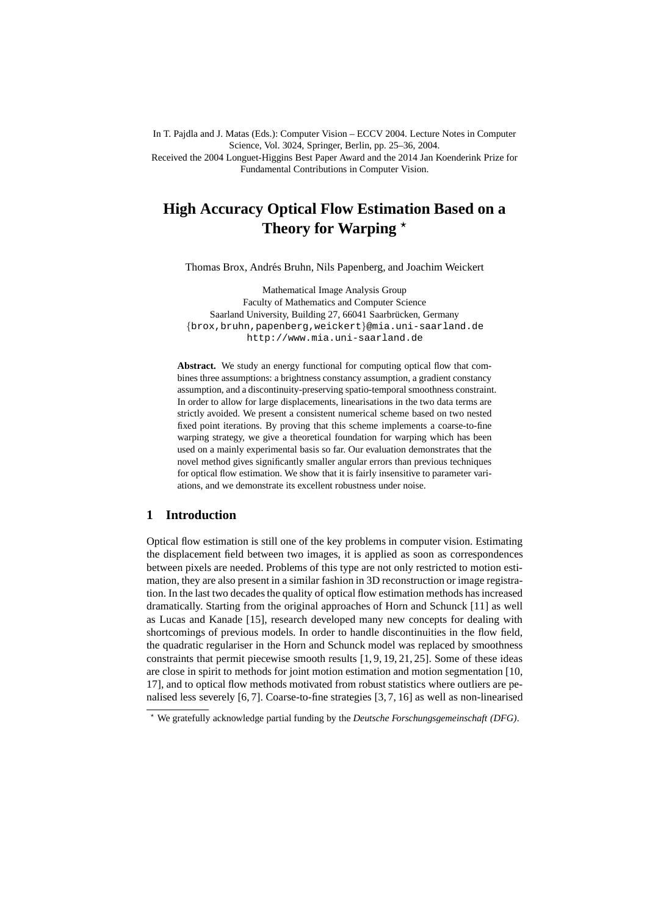In T. Pajdla and J. Matas (Eds.): Computer Vision – ECCV 2004. Lecture Notes in Computer Science, Vol. 3024, Springer, Berlin, pp. 25–36, 2004. Received the 2004 Longuet-Higgins Best Paper Award and the 2014 Jan Koenderink Prize for Fundamental Contributions in Computer Vision.

# **High Accuracy Optical Flow Estimation Based on a** Theory for Warping  $\star$

Thomas Brox, Andrés Bruhn, Nils Papenberg, and Joachim Weickert

Mathematical Image Analysis Group Faculty of Mathematics and Computer Science Saarland University, Building 27, 66041 Saarbrücken, Germany {brox,bruhn,papenberg,weickert}@mia.uni-saarland.de http://www.mia.uni-saarland.de

Abstract. We study an energy functional for computing optical flow that combines three assumptions: a brightness constancy assumption, a gradient constancy assumption, and a discontinuity-preserving spatio-temporal smoothness constraint. In order to allow for large displacements, linearisations in the two data terms are strictly avoided. We present a consistent numerical scheme based on two nested fixed point iterations. By proving that this scheme implements a coarse-to-fine warping strategy, we give a theoretical foundation for warping which has been used on a mainly experimental basis so far. Our evaluation demonstrates that the novel method gives significantly smaller angular errors than previous techniques for optical flow estimation. We show that it is fairly insensitive to parameter variations, and we demonstrate its excellent robustness under noise.

## **1 Introduction**

Optical flow estimation is still one of the key problems in computer vision. Estimating the displacement field between two images, it is applied as soon as correspondences between pixels are needed. Problems of this type are not only restricted to motion estimation, they are also present in a similar fashion in 3D reconstruction or image registration. In the last two decades the quality of optical flow estimation methods has increased dramatically. Starting from the original approaches of Horn and Schunck [11] as well as Lucas and Kanade [15], research developed many new concepts for dealing with shortcomings of previous models. In order to handle discontinuities in the flow field, the quadratic regulariser in the Horn and Schunck model was replaced by smoothness constraints that permit piecewise smooth results [1, 9, 19, 21, 25]. Some of these ideas are close in spirit to methods for joint motion estimation and motion segmentation [10, 17], and to optical flow methods motivated from robust statistics where outliers are penalised less severely [6, 7]. Coarse-to-fine strategies [3, 7, 16] as well as non-linearised

<sup>⋆</sup> We gratefully acknowledge partial funding by the *Deutsche Forschungsgemeinschaft (DFG)*.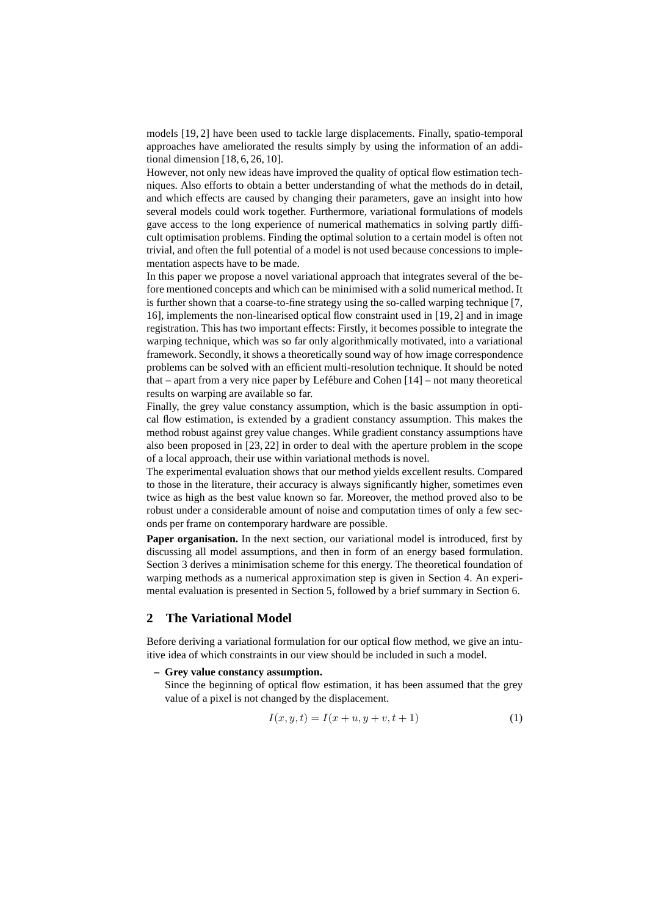models [19, 2] have been used to tackle large displacements. Finally, spatio-temporal approaches have ameliorated the results simply by using the information of an additional dimension [18, 6, 26, 10].

However, not only new ideas have improved the quality of optical flow estimation techniques. Also efforts to obtain a better understanding of what the methods do in detail, and which effects are caused by changing their parameters, gave an insight into how several models could work together. Furthermore, variational formulations of models gave access to the long experience of numerical mathematics in solving partly difficult optimisation problems. Finding the optimal solution to a certain model is often not trivial, and often the full potential of a model is not used because concessions to implementation aspects have to be made.

In this paper we propose a novel variational approach that integrates several of the before mentioned concepts and which can be minimised with a solid numerical method. It is further shown that a coarse-to-fine strategy using the so-called warping technique [7, 16], implements the non-linearised optical flow constraint used in [19, 2] and in image registration. This has two important effects: Firstly, it becomes possible to integrate the warping technique, which was so far only algorithmically motivated, into a variational framework. Secondly, it shows a theoretically sound way of how image correspondence problems can be solved with an efficient multi-resolution technique. It should be noted that – apart from a very nice paper by Lefébure and Cohen  $[14]$  – not many theoretical results on warping are available so far.

Finally, the grey value constancy assumption, which is the basic assumption in optical flow estimation, is extended by a gradient constancy assumption. This makes the method robust against grey value changes. While gradient constancy assumptions have also been proposed in [23, 22] in order to deal with the aperture problem in the scope of a local approach, their use within variational methods is novel.

The experimental evaluation shows that our method yields excellent results. Compared to those in the literature, their accuracy is always significantly higher, sometimes even twice as high as the best value known so far. Moreover, the method proved also to be robust under a considerable amount of noise and computation times of only a few seconds per frame on contemporary hardware are possible.

Paper organisation. In the next section, our variational model is introduced, first by discussing all model assumptions, and then in form of an energy based formulation. Section 3 derives a minimisation scheme for this energy. The theoretical foundation of warping methods as a numerical approximation step is given in Section 4. An experimental evaluation is presented in Section 5, followed by a brief summary in Section 6.

## **2 The Variational Model**

Before deriving a variational formulation for our optical flow method, we give an intuitive idea of which constraints in our view should be included in such a model.

#### **– Grey value constancy assumption.**

Since the beginning of optical flow estimation, it has been assumed that the grey value of a pixel is not changed by the displacement.

$$
I(x, y, t) = I(x + u, y + v, t + 1)
$$
\n(1)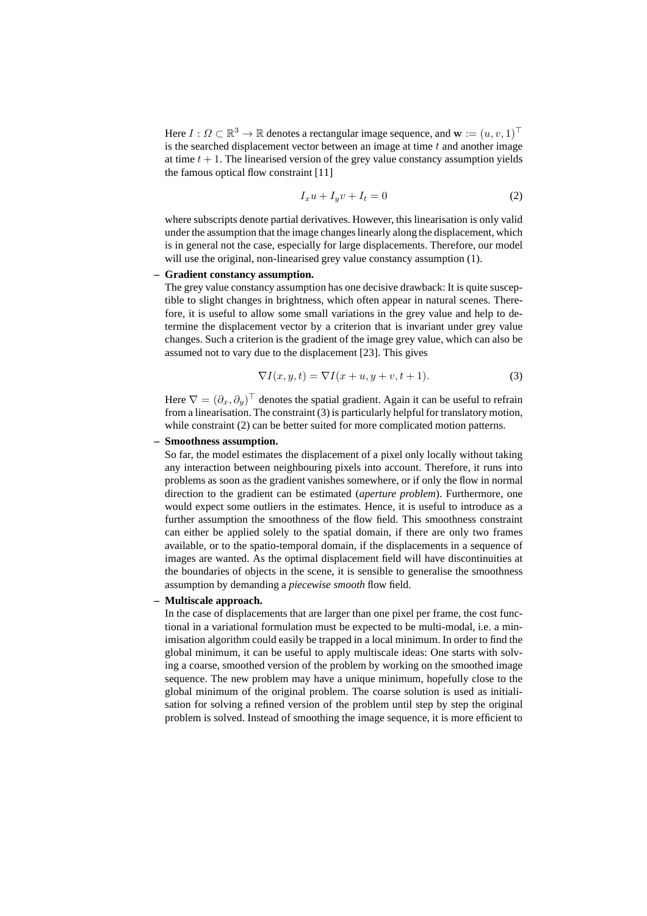Here  $I: \Omega \subset \mathbb{R}^3 \to \mathbb{R}$  denotes a rectangular image sequence, and  $\mathbf{w} := (u, v, 1)^\top$ is the searched displacement vector between an image at time t and another image at time  $t + 1$ . The linearised version of the grey value constancy assumption yields the famous optical flow constraint [11]

$$
I_x u + I_y v + I_t = 0 \tag{2}
$$

where subscripts denote partial derivatives. However, this linearisation is only valid under the assumption that the image changes linearly along the displacement, which is in general not the case, especially for large displacements. Therefore, our model will use the original, non-linearised grey value constancy assumption  $(1)$ .

#### **– Gradient constancy assumption.**

The grey value constancy assumption has one decisive drawback: It is quite susceptible to slight changes in brightness, which often appear in natural scenes. Therefore, it is useful to allow some small variations in the grey value and help to determine the displacement vector by a criterion that is invariant under grey value changes. Such a criterion is the gradient of the image grey value, which can also be assumed not to vary due to the displacement [23]. This gives

$$
\nabla I(x, y, t) = \nabla I(x + u, y + v, t + 1).
$$
 (3)

Here  $\nabla = (\partial_x, \partial_y)^\top$  denotes the spatial gradient. Again it can be useful to refrain from a linearisation. The constraint (3) is particularly helpful for translatory motion, while constraint (2) can be better suited for more complicated motion patterns.

#### **– Smoothness assumption.**

So far, the model estimates the displacement of a pixel only locally without taking any interaction between neighbouring pixels into account. Therefore, it runs into problems as soon as the gradient vanishes somewhere, or if only the flow in normal direction to the gradient can be estimated (*aperture problem*). Furthermore, one would expect some outliers in the estimates. Hence, it is useful to introduce as a further assumption the smoothness of the flow field. This smoothness constraint can either be applied solely to the spatial domain, if there are only two frames available, or to the spatio-temporal domain, if the displacements in a sequence of images are wanted. As the optimal displacement field will have discontinuities at the boundaries of objects in the scene, it is sensible to generalise the smoothness assumption by demanding a *piecewise smooth* flow field.

## **– Multiscale approach.**

In the case of displacements that are larger than one pixel per frame, the cost functional in a variational formulation must be expected to be multi-modal, i.e. a minimisation algorithm could easily be trapped in a local minimum. In order to find the global minimum, it can be useful to apply multiscale ideas: One starts with solving a coarse, smoothed version of the problem by working on the smoothed image sequence. The new problem may have a unique minimum, hopefully close to the global minimum of the original problem. The coarse solution is used as initialisation for solving a refined version of the problem until step by step the original problem is solved. Instead of smoothing the image sequence, it is more efficient to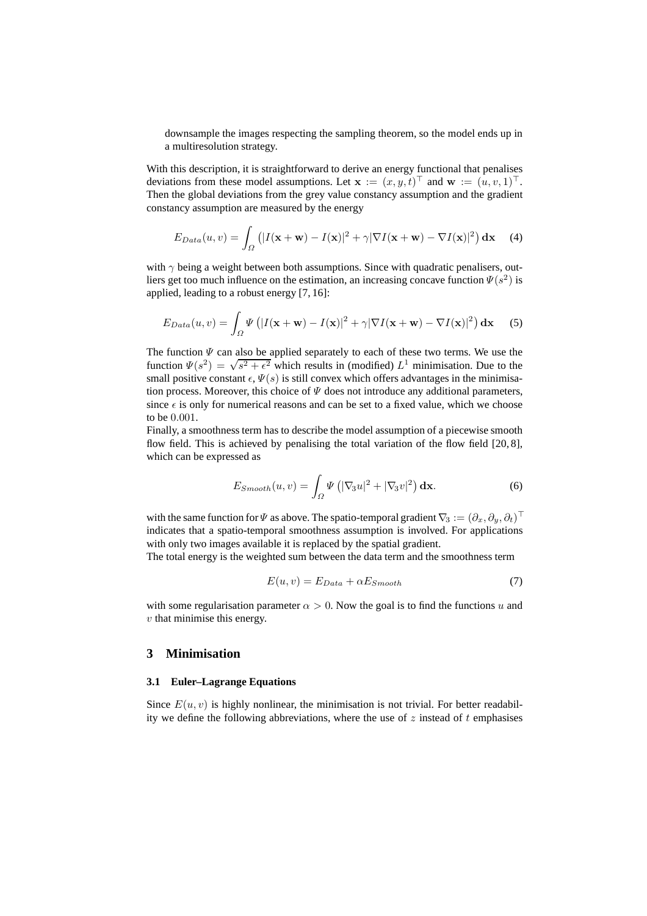downsample the images respecting the sampling theorem, so the model ends up in a multiresolution strategy.

With this description, it is straightforward to derive an energy functional that penalises deviations from these model assumptions. Let  $\mathbf{x} := (x, y, t)^\top$  and  $\mathbf{w} := (u, v, 1)^\top$ . Then the global deviations from the grey value constancy assumption and the gradient constancy assumption are measured by the energy

$$
E_{Data}(u,v) = \int_{\Omega} \left( |I(\mathbf{x} + \mathbf{w}) - I(\mathbf{x})|^2 + \gamma |\nabla I(\mathbf{x} + \mathbf{w}) - \nabla I(\mathbf{x})|^2 \right) d\mathbf{x}
$$
 (4)

with  $\gamma$  being a weight between both assumptions. Since with quadratic penalisers, outliers get too much influence on the estimation, an increasing concave function  $\Psi(s^2)$  is applied, leading to a robust energy [7, 16]:

$$
E_{Data}(u, v) = \int_{\Omega} \Psi\left(|I(\mathbf{x} + \mathbf{w}) - I(\mathbf{x})|^2 + \gamma |\nabla I(\mathbf{x} + \mathbf{w}) - \nabla I(\mathbf{x})|^2\right) d\mathbf{x}
$$
 (5)

The function  $\Psi$  can also be applied separately to each of these two terms. We use the function  $\Psi(s^2) = \sqrt{s^2 + \epsilon^2}$  which results in (modified)  $L^1$  minimisation. Due to the small positive constant  $\epsilon$ ,  $\Psi(s)$  is still convex which offers advantages in the minimisation process. Moreover, this choice of  $\Psi$  does not introduce any additional parameters, since  $\epsilon$  is only for numerical reasons and can be set to a fixed value, which we choose to be 0.001.

Finally, a smoothness term has to describe the model assumption of a piecewise smooth flow field. This is achieved by penalising the total variation of the flow field  $[20, 8]$ , which can be expressed as

$$
E_{Smooth}(u,v) = \int_{\Omega} \Psi\left(|\nabla_3 u|^2 + |\nabla_3 v|^2\right) \mathbf{dx}.
$$
 (6)

with the same function for  $\Psi$  as above. The spatio-temporal gradient  $\nabla_3:=(\partial_x,\partial_y,\partial_t)^\top$ indicates that a spatio-temporal smoothness assumption is involved. For applications with only two images available it is replaced by the spatial gradient.

The total energy is the weighted sum between the data term and the smoothness term

$$
E(u, v) = E_{Data} + \alpha E_{Smooth}
$$
 (7)

with some regularisation parameter  $\alpha > 0$ . Now the goal is to find the functions u and  $v$  that minimise this energy.

# **3 Minimisation**

### **3.1 Euler–Lagrange Equations**

Since  $E(u, v)$  is highly nonlinear, the minimisation is not trivial. For better readability we define the following abbreviations, where the use of  $z$  instead of  $t$  emphasises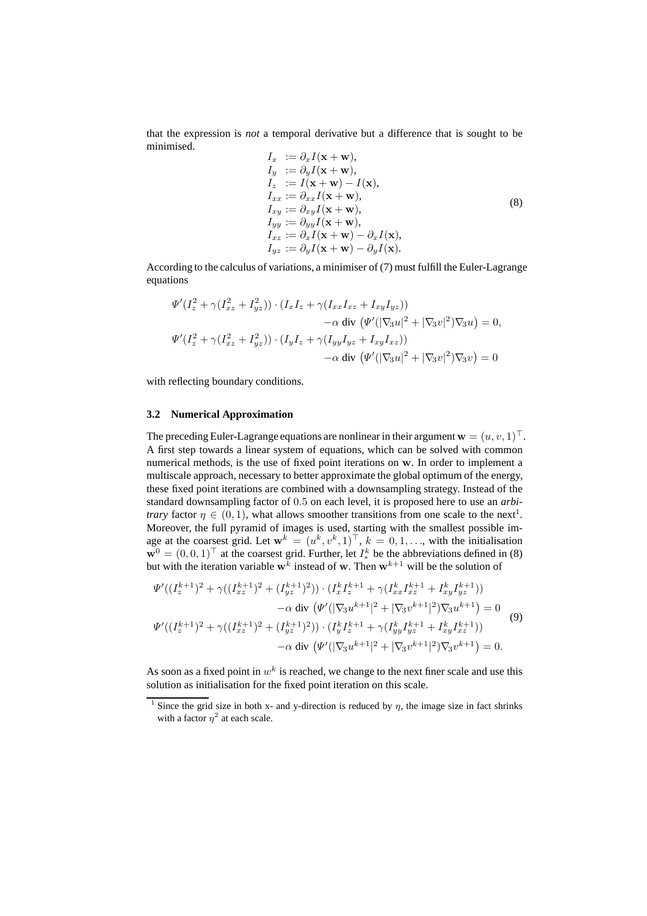that the expression is *not* a temporal derivative but a difference that is sought to be minimised.

$$
I_x := \partial_x I(\mathbf{x} + \mathbf{w}),
$$
  
\n
$$
I_y := \partial_y I(\mathbf{x} + \mathbf{w}),
$$
  
\n
$$
I_z := I(\mathbf{x} + \mathbf{w}) - I(\mathbf{x}),
$$
  
\n
$$
I_{xx} := \partial_{xx} I(\mathbf{x} + \mathbf{w}),
$$
  
\n
$$
I_{xy} := \partial_{xy} I(\mathbf{x} + \mathbf{w}),
$$
  
\n
$$
I_{yy} := \partial_{yy} I(\mathbf{x} + \mathbf{w}),
$$
  
\n
$$
I_{xz} := \partial_x I(\mathbf{x} + \mathbf{w}) - \partial_x I(\mathbf{x}),
$$
  
\n
$$
I_{yz} := \partial_y I(\mathbf{x} + \mathbf{w}) - \partial_y I(\mathbf{x}).
$$
\n(8)

According to the calculus of variations, a minimiser of (7) must fulfill the Euler-Lagrange equations

$$
\Psi'(I_z^2 + \gamma (I_{xz}^2 + I_{yz}^2)) \cdot (I_x I_z + \gamma (I_{xx} I_{xz} + I_{xy} I_{yz})) \n- \alpha \text{ div } (\Psi'(|\nabla_3 u|^2 + |\nabla_3 v|^2) \nabla_3 u) = 0, \n\Psi'(I_z^2 + \gamma (I_{xz}^2 + I_{yz}^2)) \cdot (I_y I_z + \gamma (I_{yy} I_{yz} + I_{xy} I_{xz})) \n- \alpha \text{ div } (\Psi'(|\nabla_3 u|^2 + |\nabla_3 v|^2) \nabla_3 v) = 0
$$

with reflecting boundary conditions.

#### **3.2 Numerical Approximation**

The preceding Euler-Lagrange equations are nonlinear in their argument  $\mathbf{w} = (u, v, 1)^\top$ . A first step towards a linear system of equations, which can be solved with common numerical methods, is the use of fixed point iterations on w. In order to implement a multiscale approach, necessary to better approximate the global optimum of the energy, these fixed point iterations are combined with a downsampling strategy. Instead of the standard downsampling factor of 0.5 on each level, it is proposed here to use an *arbitrary* factor  $\eta \in (0,1)$ , what allows smoother transitions from one scale to the next<sup>1</sup>. Moreover, the full pyramid of images is used, starting with the smallest possible image at the coarsest grid. Let  $\mathbf{w}^k = (u^k, v^k, 1)^\top$ ,  $k = 0, 1, \dots$ , with the initialisation  $\mathbf{w}^0 = (0,0,1)^\top$  at the coarsest grid. Further, let  $I^k_*$  be the abbreviations defined in (8) but with the iteration variable  $w^k$  instead of w. Then  $w^{k+1}$  will be the solution of

$$
\Psi'((I_z^{k+1})^2 + \gamma((I_{xz}^{k+1})^2 + (I_{yz}^{k+1})^2)) \cdot (I_x^k I_z^{k+1} + \gamma(I_{xx}^k I_{xz}^{k+1} + I_{xy}^k I_{yz}^{k+1})) \n- \alpha \operatorname{div} (\Psi'(|\nabla_3 u^{k+1}|^2 + |\nabla_3 v^{k+1}|^2) \nabla_3 u^{k+1}) = 0 \n\Psi'((I_z^{k+1})^2 + \gamma((I_{xz}^{k+1})^2 + (I_{yz}^{k+1})^2)) \cdot (I_y^k I_z^{k+1} + \gamma(I_{yy}^k I_{yz}^{k+1} + I_{xy}^k I_{xz}^{k+1})) \n- \alpha \operatorname{div} (\Psi'(|\nabla_3 u^{k+1}|^2 + |\nabla_3 v^{k+1}|^2) \nabla_3 v^{k+1}) = 0.
$$
\n(9)

As soon as a fixed point in  $w^k$  is reached, we change to the next finer scale and use this solution as initialisation for the fixed point iteration on this scale.

<sup>&</sup>lt;sup>1</sup> Since the grid size in both x- and y-direction is reduced by  $\eta$ , the image size in fact shrinks with a factor  $\eta^2$  at each scale.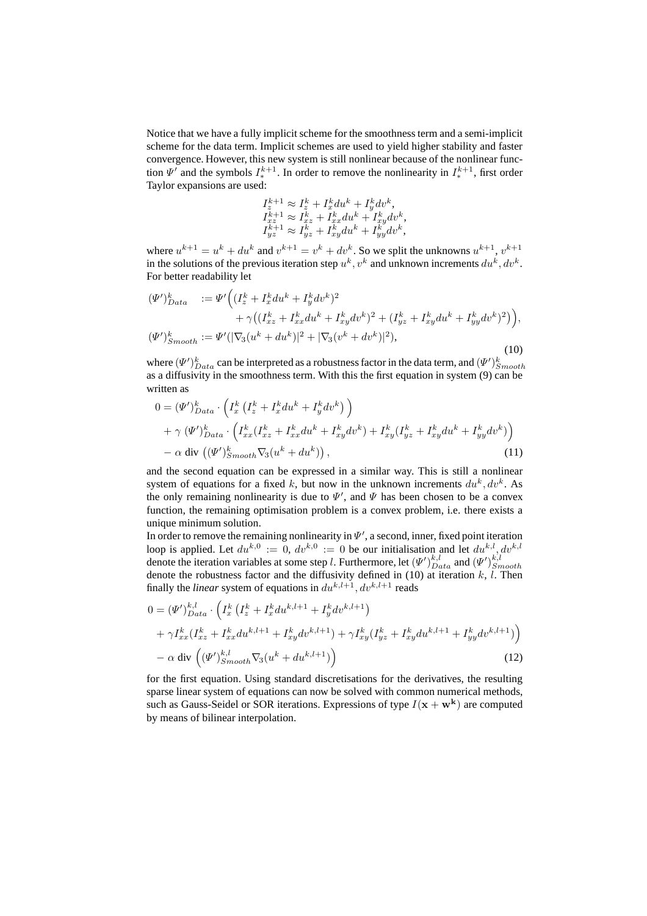Notice that we have a fully implicit scheme for the smoothness term and a semi-implicit scheme for the data term. Implicit schemes are used to yield higher stability and faster convergence. However, this new system is still nonlinear because of the nonlinear function  $\Psi'$  and the symbols  $I_{*}^{k+1}$ . In order to remove the nonlinearity in  $I_{*}^{k+1}$ , first order Taylor expansions are used:

$$
\begin{array}{l} I^{k+1}_z \approx I^k_z + I^k_x du^k + I^k_y dv^k, \\ I^{k+1}_{xz} \approx I^k_{xz} + I^k_{xx} du^k + I^k_{xy} dv^k, \\ I^{k+1}_{yz} \approx I^k_{yz} + I^k_{xy} du^k + I^k_{yy} dv^k, \end{array}
$$

where  $u^{k+1} = u^k + du^k$  and  $v^{k+1} = v^k + dv^k$ . So we split the unknowns  $u^{k+1}$ ,  $v^{k+1}$ in the solutions of the previous iteration step  $u^k$ ,  $v^k$  and unknown increments  $du^k$ ,  $dv^k$ . For better readability let

$$
\begin{split} (\Psi')_{Data}^k &:= \Psi' \Big( (I_z^k + I_x^k du^k + I_y^k dv^k)^2 \\ &+ \gamma \big( (I_{xz}^k + I_{xx}^k du^k + I_{xy}^k dv^k)^2 + (I_{yz}^k + I_{xy}^k du^k + I_{yy}^k dv^k)^2 \big) \Big), \\ (\Psi')_{Smooth}^k &:= \Psi' (|\nabla_3 (u^k + du^k)|^2 + |\nabla_3 (v^k + dv^k)|^2), \end{split} \tag{10}
$$

where  $(\Psi')_{Data}^k$  can be interpreted as a robustness factor in the data term, and  $(\Psi')_{Smooth}^k$ as a diffusivity in the smoothness term. With this the first equation in system (9) can be written as

$$
0 = (\Psi')_{Data}^{k} \cdot \left( I_x^{k} \left( I_z^{k} + I_x^{k} du^{k} + I_y^{k} dv^{k} \right) \right) + \gamma (\Psi')_{Data}^{k} \cdot \left( I_{xx}^{k} (I_{xz}^{k} + I_{xx}^{k} du^{k} + I_{xy}^{k} dv^{k}) + I_{xy}^{k} (I_{yz}^{k} + I_{xy}^{k} du^{k} + I_{yy}^{k} dv^{k}) \right) - \alpha \operatorname{div} ((\Psi')_{Smooth}^{k} \nabla_3 (u^{k} + du^{k})) , \qquad (11)
$$

and the second equation can be expressed in a similar way. This is still a nonlinear system of equations for a fixed k, but now in the unknown increments  $du^k, dv^k$ . As the only remaining nonlinearity is due to  $\Psi'$ , and  $\Psi$  has been chosen to be a convex function, the remaining optimisation problem is a convex problem, i.e. there exists a unique minimum solution.

In order to remove the remaining nonlinearity in  $\Psi'$ , a second, inner, fixed point iteration loop is applied. Let  $du^{k,0} := 0$ ,  $dv^{k,0} := 0$  be our initialisation and let  $du^{k,l}, dv^{k,l}$ denote the iteration variables at some step l. Furthermore, let  $(\Psi')_{Data}^{k,l}$  and  $(\Psi')_{Smooth}^{k,l}$ denote the robustness factor and the diffusivity defined in  $(10)$  at iteration k, l. Then finally the *linear* system of equations in  $du^{k,l+1}$ ,  $dv^{k,l+1}$  reads

$$
0 = (\Psi')_{Data}^{k,l} \cdot \left( I_x^k \left( I_z^k + I_x^k du^{k,l+1} + I_y^k dv^{k,l+1} \right) \right) + \gamma I_{xx}^k (I_{xz}^k + I_{xx}^k du^{k,l+1} + I_{xy}^k dv^{k,l+1}) + \gamma I_{xy}^k (I_{yz}^k + I_{xy}^k du^{k,l+1} + I_{yy}^k dv^{k,l+1}) \right) - \alpha \operatorname{div} \left( (\Psi')_{Smooth}^{k,l} \nabla_3 (u^k + du^{k,l+1}) \right)
$$
(12)

for the first equation. Using standard discretisations for the derivatives, the resulting sparse linear system of equations can now be solved with common numerical methods, such as Gauss-Seidel or SOR iterations. Expressions of type  $I(x + w<sup>k</sup>)$  are computed by means of bilinear interpolation.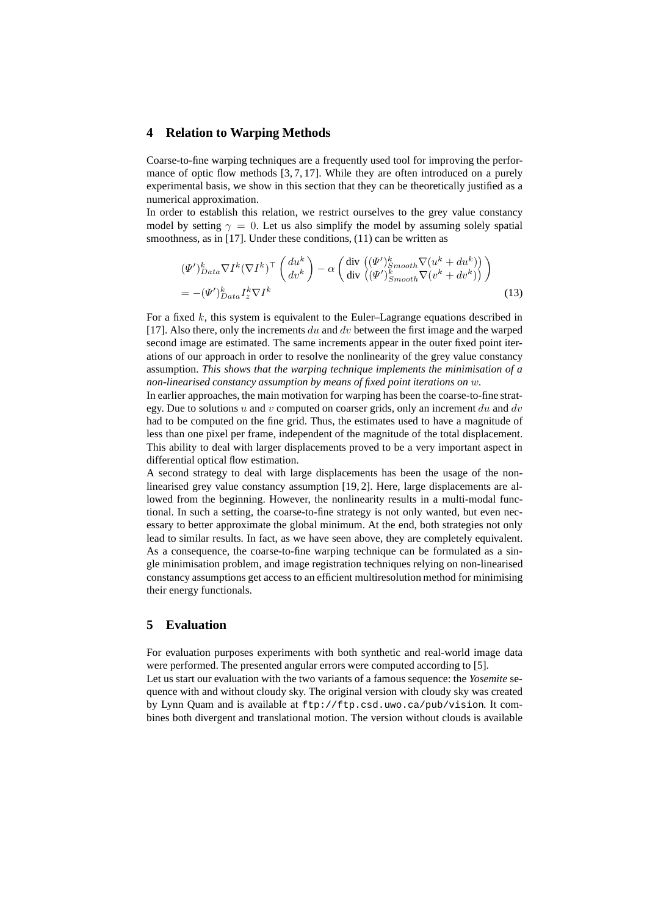## **4 Relation to Warping Methods**

Coarse-to-fine warping techniques are a frequently used tool for improving the performance of optic flow methods  $[3, 7, 17]$ . While they are often introduced on a purely experimental basis, we show in this section that they can be theoretically justified as a numerical approximation.

In order to establish this relation, we restrict ourselves to the grey value constancy model by setting  $\gamma = 0$ . Let us also simplify the model by assuming solely spatial smoothness, as in [17]. Under these conditions, (11) can be written as

$$
(\Psi')_{Data}^{k} \nabla I^{k} (\nabla I^{k})^{\top} \begin{pmatrix} du^{k} \\ dv^{k} \end{pmatrix} - \alpha \begin{pmatrix} \text{div } ((\Psi')_{Smooth}^{k} \nabla (u^{k} + du^{k})) \\ \text{div } ((\Psi')_{Smooth}^{k} \nabla (v^{k} + dv^{k})) \end{pmatrix}
$$
  
= -(\Psi')\_{Data}^{k} I\_{z}^{k} \nabla I^{k} (13)

For a fixed  $k$ , this system is equivalent to the Euler–Lagrange equations described in [17]. Also there, only the increments du and dv between the first image and the warped second image are estimated. The same increments appear in the outer fixed point iterations of our approach in order to resolve the nonlinearity of the grey value constancy assumption. *This shows that the warping technique implements the minimisation of a non-linearised constancy assumption by means of fixed point iterations on* w*.*

In earlier approaches, the main motivation for warping has been the coarse-to-fine strategy. Due to solutions  $u$  and  $v$  computed on coarser grids, only an increment du and dv had to be computed on the fine grid. Thus, the estimates used to have a magnitude of less than one pixel per frame, independent of the magnitude of the total displacement. This ability to deal with larger displacements proved to be a very important aspect in differential optical flow estimation.

A second strategy to deal with large displacements has been the usage of the nonlinearised grey value constancy assumption [19, 2]. Here, large displacements are allowed from the beginning. However, the nonlinearity results in a multi-modal functional. In such a setting, the coarse-to-fine strategy is not only wanted, but even necessary to better approximate the global minimum. At the end, both strategies not only lead to similar results. In fact, as we have seen above, they are completely equivalent. As a consequence, the coarse-to-fine warping technique can be formulated as a single minimisation problem, and image registration techniques relying on non-linearised constancy assumptions get access to an efficient multiresolution method for minimising their energy functionals.

## **5 Evaluation**

For evaluation purposes experiments with both synthetic and real-world image data were performed. The presented angular errors were computed according to [5]. Let us start our evaluation with the two variants of a famous sequence: the *Yosemite* sequence with and without cloudy sky. The original version with cloudy sky was created by Lynn Quam and is available at ftp://ftp.csd.uwo.ca/pub/vision. It combines both divergent and translational motion. The version without clouds is available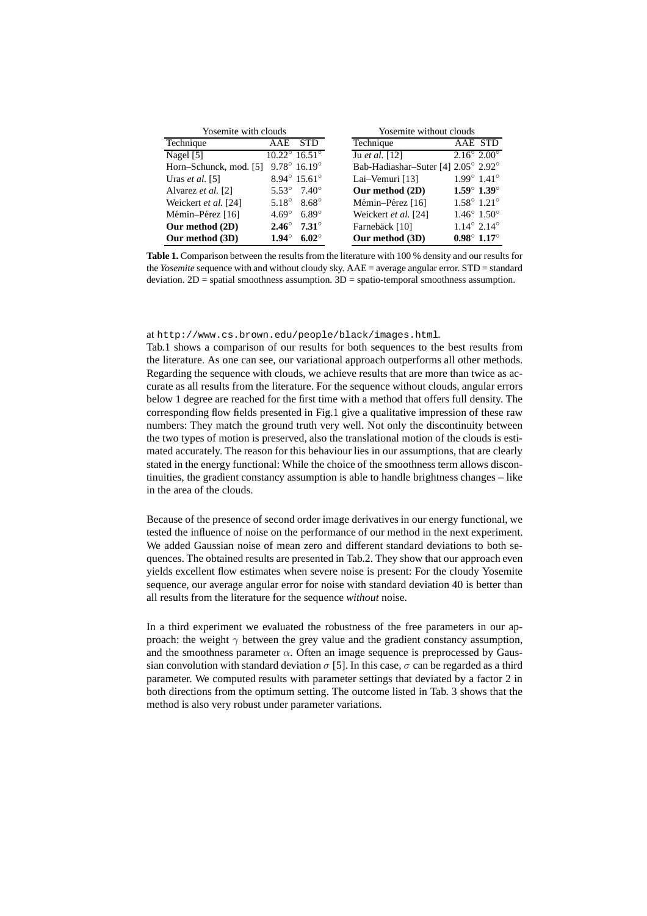| Yosemite with clouds   |                |                                  | Yosemite without clouds                               |  |  |
|------------------------|----------------|----------------------------------|-------------------------------------------------------|--|--|
| Technique              | AAE            | <b>STD</b>                       | Technique<br>AAE STD                                  |  |  |
| Nagel [5]              |                | $10.22^{\circ}$ 16.51 $^{\circ}$ | $2.16^{\circ}$ $2.00^{\circ}$<br>Ju et al. [12]       |  |  |
| Horn–Schunck, mod. [5] |                | $9.78^{\circ}$ 16.19 $^{\circ}$  | Bab-Hadiashar-Suter [4] 2.05° 2.92°                   |  |  |
| Uras et al. $[5]$      |                | $8.94^{\circ}$ 15.61 $^{\circ}$  | $1.99^{\circ}$ 1.41 $^{\circ}$<br>Lai-Vemuri [13]     |  |  |
| Alvarez et al. [2]     |                | $5.53^{\circ}$ 7.40 <sup>°</sup> | $1.59^{\circ}$ 1.39 $^{\circ}$<br>Our method (2D)     |  |  |
| Weickert et al. [24]   |                | 5.18 $^{\circ}$ 8.68 $^{\circ}$  | $1.58^{\circ}$ 1.21 $^{\circ}$<br>Mémin-Pérez [16]    |  |  |
| Mémin-Pérez [16]       | $4.69^\circ$   | $6.89^\circ$                     | $1.46^{\circ}$ $1.50^{\circ}$<br>Weickert et al. [24] |  |  |
| Our method (2D)        | $2.46^{\circ}$ | $7.31^\circ$                     | $1.14^{\circ}$ 2.14 $^{\circ}$<br>Farnebäck [10]      |  |  |
| Our method (3D)        | $1.94^\circ$   | $6.02^\circ$                     | $0.98^{\circ}$ 1.17 $^{\circ}$<br>Our method (3D)     |  |  |

**Table 1.** Comparison between the results from the literature with 100 % density and our results for the *Yosemite* sequence with and without cloudy sky. AAE = average angular error. STD = standard deviation.  $2D =$  spatial smoothness assumption.  $3D =$  spatio-temporal smoothness assumption.

at http://www.cs.brown.edu/people/black/images.html.

Tab.1 shows a comparison of our results for both sequences to the best results from the literature. As one can see, our variational approach outperforms all other methods. Regarding the sequence with clouds, we achieve results that are more than twice as accurate as all results from the literature. For the sequence without clouds, angular errors below 1 degree are reached for the first time with a method that offers full density. The corresponding flow fields presented in Fig.1 give a qualitative impression of these raw numbers: They match the ground truth very well. Not only the discontinuity between the two types of motion is preserved, also the translational motion of the clouds is estimated accurately. The reason for this behaviour lies in our assumptions, that are clearly stated in the energy functional: While the choice of the smoothness term allows discontinuities, the gradient constancy assumption is able to handle brightness changes – like in the area of the clouds.

Because of the presence of second order image derivatives in our energy functional, we tested the influence of noise on the performance of our method in the next experiment. We added Gaussian noise of mean zero and different standard deviations to both sequences. The obtained results are presented in Tab.2. They show that our approach even yields excellent flow estimates when severe noise is present: For the cloudy Yosemite sequence, our average angular error for noise with standard deviation 40 is better than all results from the literature for the sequence *without* noise.

In a third experiment we evaluated the robustness of the free parameters in our approach: the weight  $\gamma$  between the grey value and the gradient constancy assumption, and the smoothness parameter  $\alpha$ . Often an image sequence is preprocessed by Gaussian convolution with standard deviation  $\sigma$  [5]. In this case,  $\sigma$  can be regarded as a third parameter. We computed results with parameter settings that deviated by a factor 2 in both directions from the optimum setting. The outcome listed in Tab. 3 shows that the method is also very robust under parameter variations.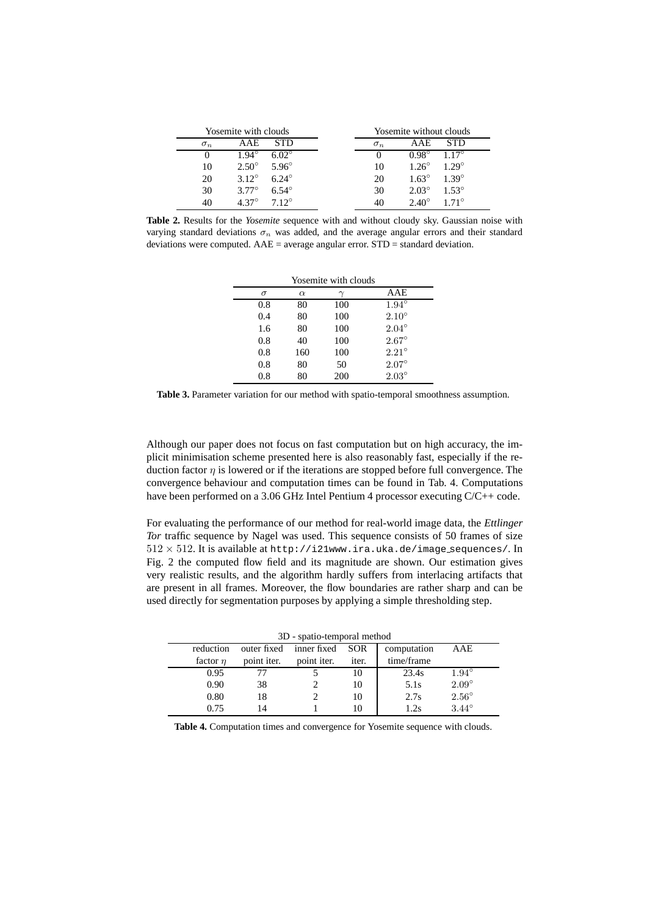| Yosemite with clouds |                |              | Yosemite without clouds |                |                |
|----------------------|----------------|--------------|-------------------------|----------------|----------------|
| $\sigma_n$           | AAE            | STD          | $\sigma_n$              | A A E          | STD            |
| $\theta$             | $1.94^{\circ}$ | $6.02^\circ$ |                         | $0.98^\circ$   | $1.17^{\circ}$ |
| 10                   | $2.50^\circ$   | $5.96^\circ$ | 10                      | $1.26^\circ$   | $1.29^\circ$   |
| 20                   | $3.12^{\circ}$ | $6.24^\circ$ | 20                      | $1.63^\circ$   | $1.39^\circ$   |
| 30                   | $3.77^\circ$   | $6.54^\circ$ | 30                      | $2.03^\circ$   | $1.53^{\circ}$ |
| 40                   | $4.37^\circ$   | $712^\circ$  | 40                      | $2.40^{\circ}$ | $171^{\circ}$  |

**Table 2.** Results for the *Yosemite* sequence with and without cloudy sky. Gaussian noise with varying standard deviations  $\sigma_n$  was added, and the average angular errors and their standard deviations were computed.  $AAE =$  average angular error.  $STD =$  standard deviation.

| Yosemite with clouds |          |     |                |  |  |
|----------------------|----------|-----|----------------|--|--|
| $\sigma$             | $\alpha$ |     | AAE            |  |  |
| 0.8                  | 80       | 100 | $1.94^\circ$   |  |  |
| 0.4                  | 80       | 100 | $2.10^{\circ}$ |  |  |
| 1.6                  | 80       | 100 | $2.04^{\circ}$ |  |  |
| 0.8                  | 40       | 100 | $2.67^\circ$   |  |  |
| 0.8                  | 160      | 100 | $2.21^{\circ}$ |  |  |
| 0.8                  | 80       | 50  | $2.07^\circ$   |  |  |
| 0.8                  | 80       | 200 | $2.03^{\circ}$ |  |  |

**Table 3.** Parameter variation for our method with spatio-temporal smoothness assumption.

Although our paper does not focus on fast computation but on high accuracy, the implicit minimisation scheme presented here is also reasonably fast, especially if the reduction factor  $\eta$  is lowered or if the iterations are stopped before full convergence. The convergence behaviour and computation times can be found in Tab. 4. Computations have been performed on a 3.06 GHz Intel Pentium 4 processor executing C/C++ code.

For evaluating the performance of our method for real-world image data, the *Ettlinger Tor* traffic sequence by Nagel was used. This sequence consists of 50 frames of size  $512 \times 512$ . It is available at http://i21www.ira.uka.de/image\_sequences/. In Fig. 2 the computed flow field and its magnitude are shown. Our estimation gives very realistic results, and the algorithm hardly suffers from interlacing artifacts that are present in all frames. Moreover, the flow boundaries are rather sharp and can be used directly for segmentation purposes by applying a simple thresholding step.

|  | 3D - spatio-temporal method |  |
|--|-----------------------------|--|
|--|-----------------------------|--|

| $5D -$ spatro-temporal inctiou |             |             |       |             |                |  |
|--------------------------------|-------------|-------------|-------|-------------|----------------|--|
| reduction                      | outer fixed | inner fixed | SOR   | computation | AAE            |  |
| factor $n$                     | point iter. | point iter. | iter. | time/frame  |                |  |
| 0.95                           |             |             |       | 23.4s       | $1.94^\circ$   |  |
| 0.90                           | 38          |             | 10    | 5.1s        | $2.09^\circ$   |  |
| 0.80                           | 18          |             | 10    | 2.7s        | $2.56^{\circ}$ |  |
| 0.75                           |             |             |       | 1.2s        | $3.44^\circ$   |  |
|                                |             |             |       |             |                |  |

**Table 4.** Computation times and convergence for Yosemite sequence with clouds.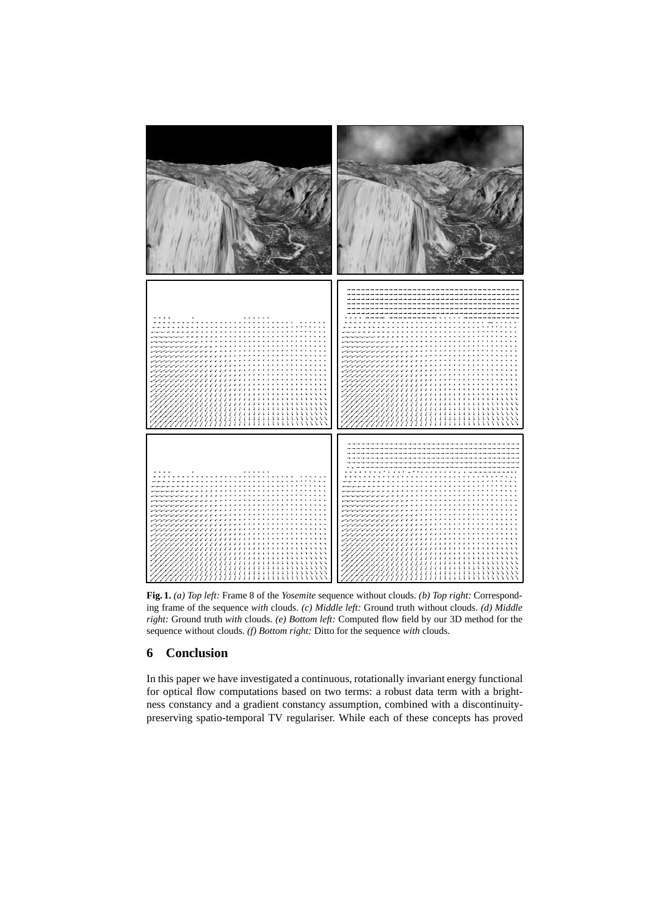

**Fig. 1.** *(a) Top left:* Frame 8 of the *Yosemite* sequence without clouds. *(b) Top right:* Corresponding frame of the sequence *with* clouds. *(c) Middle left:* Ground truth without clouds. *(d) Middle right:* Ground truth *with* clouds. *(e) Bottom left:* Computed flow field by our 3D method for the sequence without clouds. *(f) Bottom right:* Ditto for the sequence *with* clouds.

# **6 Conclusion**

In this paper we have investigated a continuous, rotationally invariant energy functional for optical flow computations based on two terms: a robust data term with a brightness constancy and a gradient constancy assumption, combined with a discontinuitypreserving spatio-temporal TV regulariser. While each of these concepts has proved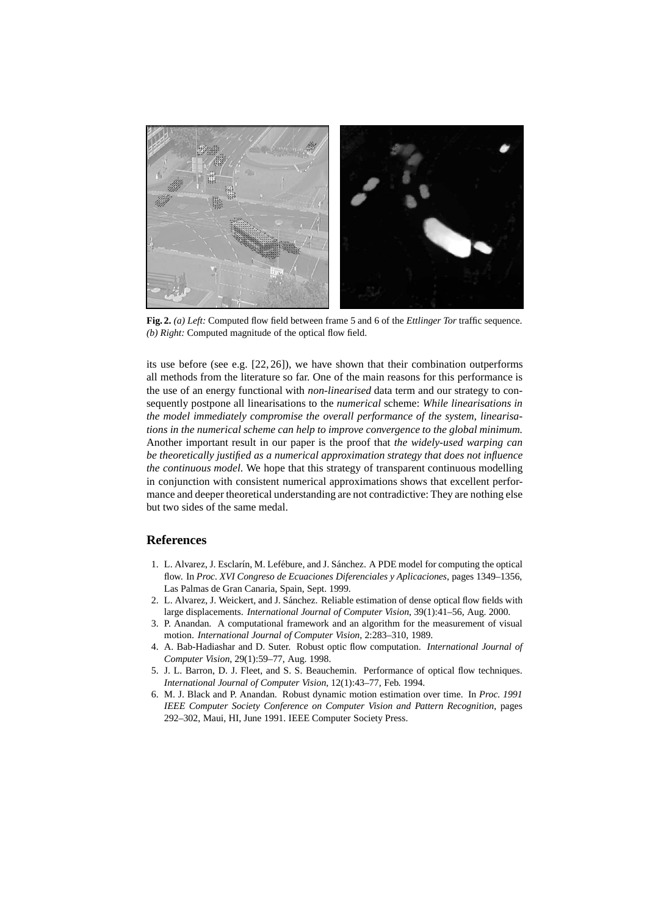

**Fig. 2.** *(a) Left:* Computed flow field between frame 5 and 6 of the *Ettlinger Tor* traffic sequence. *(b) Right:* Computed magnitude of the optical flow field.

its use before (see e.g. [22, 26]), we have shown that their combination outperforms all methods from the literature so far. One of the main reasons for this performance is the use of an energy functional with *non-linearised* data term and our strategy to consequently postpone all linearisations to the *numerical* scheme: *While linearisations in the model immediately compromise the overall performance of the system, linearisations in the numerical scheme can help to improve convergence to the global minimum.* Another important result in our paper is the proof that *the widely-used warping can be theoretically justified as a numerical approximation strategy that does not influence the continuous model*. We hope that this strategy of transparent continuous modelling in conjunction with consistent numerical approximations shows that excellent performance and deeper theoretical understanding are not contradictive: They are nothing else but two sides of the same medal.

# **References**

- 1. L. Alvarez, J. Esclarín, M. Lefébure, and J. Sánchez. A PDE model for computing the optical flow. In *Proc. XVI Congreso de Ecuaciones Diferenciales y Aplicaciones*, pages 1349–1356, Las Palmas de Gran Canaria, Spain, Sept. 1999.
- 2. L. Alvarez, J. Weickert, and J. Sánchez. Reliable estimation of dense optical flow fields with large displacements. *International Journal of Computer Vision*, 39(1):41–56, Aug. 2000.
- 3. P. Anandan. A computational framework and an algorithm for the measurement of visual motion. *International Journal of Computer Vision*, 2:283–310, 1989.
- 4. A. Bab-Hadiashar and D. Suter. Robust optic flow computation. *International Journal of Computer Vision*, 29(1):59–77, Aug. 1998.
- 5. J. L. Barron, D. J. Fleet, and S. S. Beauchemin. Performance of optical flow techniques. *International Journal of Computer Vision*, 12(1):43–77, Feb. 1994.
- 6. M. J. Black and P. Anandan. Robust dynamic motion estimation over time. In *Proc. 1991 IEEE Computer Society Conference on Computer Vision and Pattern Recognition*, pages 292–302, Maui, HI, June 1991. IEEE Computer Society Press.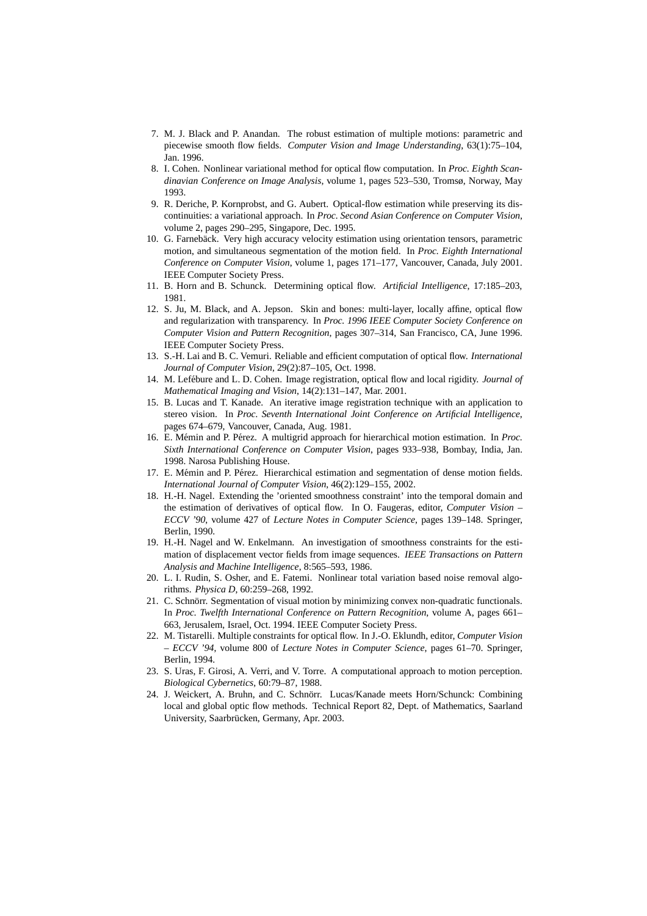- 7. M. J. Black and P. Anandan. The robust estimation of multiple motions: parametric and piecewise smooth flow fields. *Computer Vision and Image Understanding*, 63(1):75–104, Jan. 1996.
- 8. I. Cohen. Nonlinear variational method for optical flow computation. In *Proc. Eighth Scandinavian Conference on Image Analysis*, volume 1, pages 523–530, Tromsø, Norway, May 1993.
- 9. R. Deriche, P. Kornprobst, and G. Aubert. Optical-flow estimation while preserving its discontinuities: a variational approach. In *Proc. Second Asian Conference on Computer Vision*, volume 2, pages 290–295, Singapore, Dec. 1995.
- 10. G. Farnebäck. Very high accuracy velocity estimation using orientation tensors, parametric motion, and simultaneous segmentation of the motion field. In *Proc. Eighth International Conference on Computer Vision*, volume 1, pages 171–177, Vancouver, Canada, July 2001. IEEE Computer Society Press.
- 11. B. Horn and B. Schunck. Determining optical flow. *Artificial Intelligence*, 17:185–203, 1981.
- 12. S. Ju, M. Black, and A. Jepson. Skin and bones: multi-layer, locally affine, optical flow and regularization with transparency. In *Proc. 1996 IEEE Computer Society Conference on Computer Vision and Pattern Recognition*, pages 307–314, San Francisco, CA, June 1996. IEEE Computer Society Press.
- 13. S.-H. Lai and B. C. Vemuri. Reliable and efficient computation of optical flow. *International Journal of Computer Vision*, 29(2):87–105, Oct. 1998.
- 14. M. Lef´ebure and L. D. Cohen. Image registration, optical flow and local rigidity. *Journal of Mathematical Imaging and Vision*, 14(2):131–147, Mar. 2001.
- 15. B. Lucas and T. Kanade. An iterative image registration technique with an application to stereo vision. In *Proc. Seventh International Joint Conference on Artificial Intelligence*, pages 674–679, Vancouver, Canada, Aug. 1981.
- 16. E. M´emin and P. P´erez. A multigrid approach for hierarchical motion estimation. In *Proc. Sixth International Conference on Computer Vision*, pages 933–938, Bombay, India, Jan. 1998. Narosa Publishing House.
- 17. E. Mémin and P. Pérez. Hierarchical estimation and segmentation of dense motion fields. *International Journal of Computer Vision*, 46(2):129–155, 2002.
- 18. H.-H. Nagel. Extending the 'oriented smoothness constraint' into the temporal domain and the estimation of derivatives of optical flow. In O. Faugeras, editor, *Computer Vision – ECCV '90*, volume 427 of *Lecture Notes in Computer Science*, pages 139–148. Springer, Berlin, 1990.
- 19. H.-H. Nagel and W. Enkelmann. An investigation of smoothness constraints for the estimation of displacement vector fields from image sequences. *IEEE Transactions on Pattern Analysis and Machine Intelligence*, 8:565–593, 1986.
- 20. L. I. Rudin, S. Osher, and E. Fatemi. Nonlinear total variation based noise removal algorithms. *Physica D*, 60:259–268, 1992.
- 21. C. Schnörr. Segmentation of visual motion by minimizing convex non-quadratic functionals. In *Proc. Twelfth International Conference on Pattern Recognition*, volume A, pages 661– 663, Jerusalem, Israel, Oct. 1994. IEEE Computer Society Press.
- 22. M. Tistarelli. Multiple constraints for optical flow. In J.-O. Eklundh, editor, *Computer Vision – ECCV '94*, volume 800 of *Lecture Notes in Computer Science*, pages 61–70. Springer, Berlin, 1994.
- 23. S. Uras, F. Girosi, A. Verri, and V. Torre. A computational approach to motion perception. *Biological Cybernetics*, 60:79–87, 1988.
- 24. J. Weickert, A. Bruhn, and C. Schnörr. Lucas/Kanade meets Horn/Schunck: Combining local and global optic flow methods. Technical Report 82, Dept. of Mathematics, Saarland University, Saarbrücken, Germany, Apr. 2003.